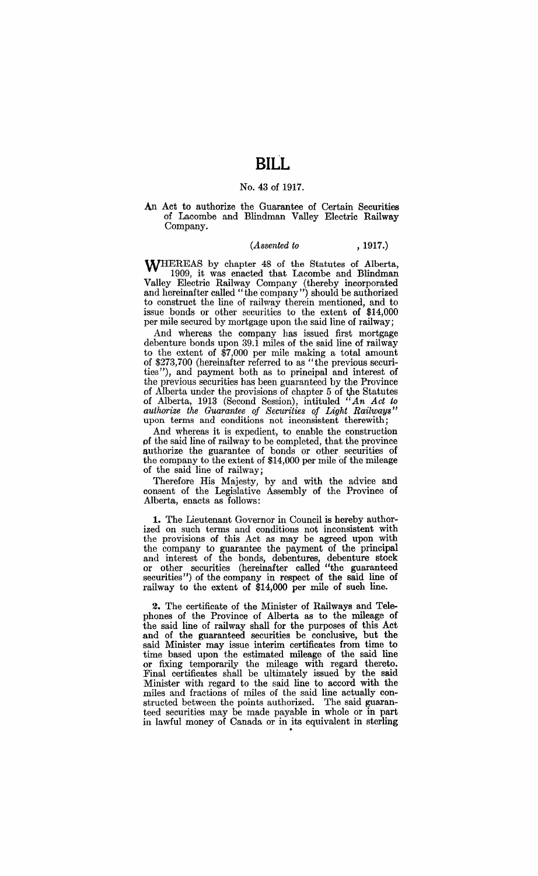## No. 43 of 1917.

An Act to authorize the Guarantee of Certain Securities of Lacombe and Blindman Valley Electric Railway Company.

## *(Assented to* , 1917.)

WHEREAS by chapter 48 of the Statutes of Alberta, 1909, it was enacted that Lacombe and Blindman Valley Electric Railway Company (thereby incorporated and hereinafter called "the company") should be authorized to construct the line of railway therein mentioned, and to issue bonds or other securities to the extent of \$14,000 per mile secured by mortgage upon the said line of railway;

And whereas the company has issued first mortgage debenture bonds upon 39.1 miles of the said line of railway to the extent of \$7,000 per mile making a total amount of \$273,700 (hereinafter referred to as "the previous securities"), and payment both as to principal and interest of the previous securities has been guaranteed by the Province of Alberta under the provisions of chapter 5 of the Statutes of Alberta, 1913 (Second Session), intituled *"An Act to authorize the Guarantee of Securities of Light RailwaY8"*  upon terms and conditions not inconsistent therewith;

And whereas it is expedient, to enable the construction pf the said line of railway to be completed, that the province authorize the guarantee of bonds or other securities of the company to the extent of \$14,000 per mile of the mileage of the said line of railway;

Therefore His Majesty, by and with the advice and consent of the Legislative Assembly of the Province of Alberta, enacts as follows:

**1.** The Lieutenant Governor in Council is hereby authorized on such terms and conditions not inconsistent with the provisions of this Act as may be agreed upon with the company to guarantee the payment of the principal and interest of the bonds, debentures, debenture stock or other securities (hereinafter called "the guaranteed securities") of the company in respect of the said line of railway to the extent of \$14,000 per mile of such line.

2. The certificate of the Minister of Railways and Telephones of the Province of Alberta as to the mileage of the said line of railway shall for the purposes of this Act and of the guaranteed securities be conclusive, but the said Minister may issue interim certificates from time to time based upon the estimated mileage of the said line or fixing temporarily the mileage with regard thereto. Final certificates shall be ultimately issued by the said Minister with regard to the said line to accord with the miles and fractions of miles of the said line actually constructed between the points authorized. The said guaranteed securities may be made payable in whole or in part in lawful money of Canada or in its equivalent in sterling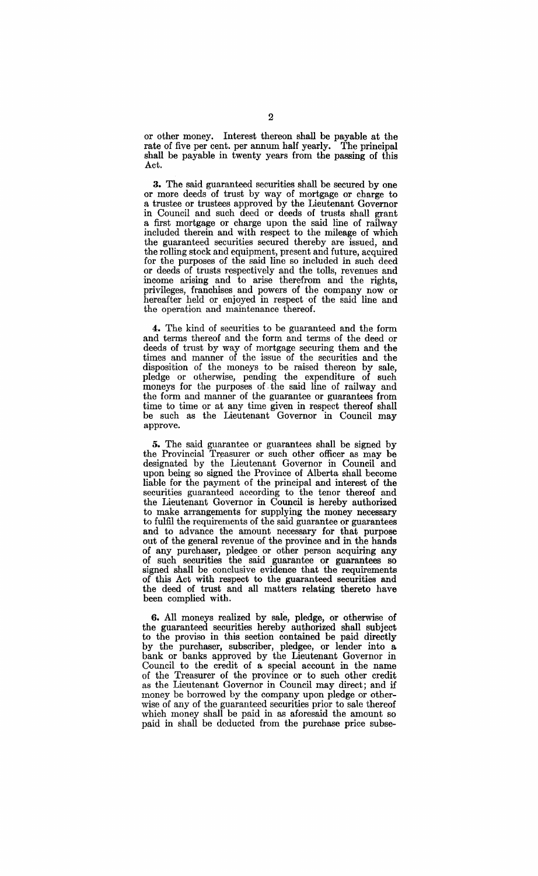or other money. Interest thereon shall be payable at the rate of five per cent. per annum half yearly. The principal rate of five per cent. per annum half yearly. shall be payable in twenty years from the passing of this Act.

**3.** The said guaranteed securities shall be secured by one or more deeds of trust by way of mortgage or charge to a trustee or trustees approved by the Lieutenant Governor in Council and such deed or deeds of trusts shall grant a first mortgage or charge upon the said line of railway included therein and with respect to the mileage of which the guaranteed securities secured thereby are issued, and the rolling stock and equipment, present and future, acquired for the purposes of the said line so included in such deed or deeds of trusts respectively and the tolls, revenues and income arising and to arise therefrom and the rights, privileges, franchises and powers of the company now or hereafter held or enjoyed in respect of the said line and the operation and maintenance thereof.

**4.** The kind of securities to be guaranteed and the form and terms thereof and the form and terms of the deed or deeds of trust by way of mortgage securing them and the times and manner of the issue of the securities and the disposition of the moneys to be raised thereon by sale, pledge or otherwise, pending the expenditure of such moneys for the purposes of. the said line of railway and the form and manner of the guarantee or guarantees from time to time or at any time given in respect thereof shall be such as the Lieutenant Governor in Council may approve.

**5.** The said guarantee or guarantees shall be signed by the Provincial Treasurer or such other officer as may be designated by the Lieutenant Governor in Council and upon being so signed the Province of Alberta shall become liable for the payment of the principal and interest of the securities guaranteed according to the tenor thereof and the Lieutenant Governor in Council is hereby authorized to make arrangements for supplying the money necessary to fulfil the requirements of the said guarantee or guarantees and to advance the amount necessary for that purpose out of the general revenue of the province and in the hands of any purchaser, pledgee or other person acquiring any of such securities the said guarantee or guarantees so signed shall be conclusive evidence that the requirements of this Act with respect to the guaranteed securities and the deed of trust and all matters relating thereto have been complied with.

**6.** All moneys realized by sale, pledge, or otherwise of the guaranteed securities hereby authorized shall subject to the proviso in this section contained be paid directly by the purchaser, subscriber, pledgee, or lender into a bank or banks approved by the Lieutenant Governor in Council to the credit of a special account in the name of the Treasurer of the province or to such other credit as the Lieutenant Governor in Council may direct; and if money be borrowed by the company upon pledge or otherwise of any of the guaranteed securities prior to sale thereof which money shall be paid in as aforesaid the amount so paid in shall be deducted from the purchase price subse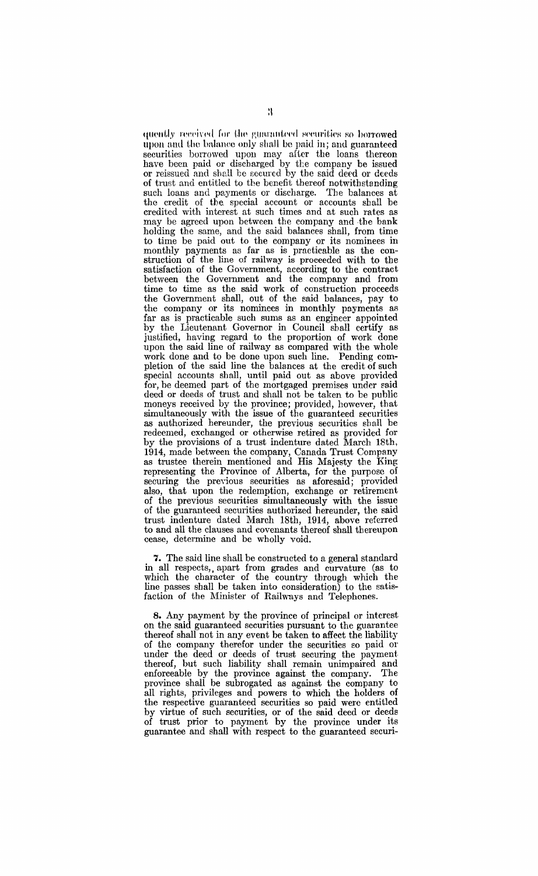quently received for the guaranteed securities so borrowed upon and the balance only shall be paid in; and guaranteed securities borrowed upon may after the loans thereon have been paid or discharged by the company be issued or reissued and shall be secured by the said deed or deeds of trust and entitled to the benefit thereof notwithstanding such loans and payments or discharge. The balances at the credit of the special account or accounts shall be credited with interest at such times and at such rates as may be agreed upon between the company and ·the bank holding the same, and the said balances shall, from time to time be paid out to the company or its nominees in monthly payments as far as is practicable as the construction of the line of railway is proceeded with to the satisfaction of the Government, according to the contract between the Government and the company and from time to time as the said work of construction proceeds the Government shall, out of the said balances, pay to the company or its nominees in monthly payments as far as is practicable such sums as an engineer appointed by the Lieutenant Governor in Council shall certify as justified, having regard to the proportion of work done upon the said line of railway as compared with the whole work done and to be done upon such line. Pending completion of the said line the balances at the credit of such special accounts shall, until paid out as above provided for, be deemed part of the mortgaged premises under said deed or deeds of trust and shall not be taken to be public moneys received by the province; provided, however, that simultaneously with the issue of the guaranteed securities as authorized hereunder, the previous securities shall be redeemed, exchanged or otherwise retired as provided for by the provisions of a trust indenture dated March 18th, 1914, made between the company, Canada Trust Company as trustee therein mentioned and His Majesty the King representing the Province of Alberta, for the purpose of securing the preyious securities as aforesaid; provided also, that upon the redemption, exchange or retirement of the previous securities simultaneously with the issue of the guaranteed securities authorized hereunder, the said trust indenture dated March 18th, 1914, above referred to and all the clauses and covenants thereof shall thereupon cease, determine and be wholly void.

7. The said line shall be constructed to a general standard in all respects, apart from grades and curvature (as to which the character of the country through which the line passes shall be taken into consideration) to the satisfaction of the Minister of Railways and Telephones.

**8.** Any payment by the province of principal or interest on the said guaranteed securities pursuant to the guarantee thereof shall not in any event be taken to affect the liability of the company therefor under the securities so paid 01' under the deed or deeds of trust securing the payment. thereof, but such liability shall remain unimpaired and enforceable by the province against the company. The province shall be subrogated as against the company to all rights, privileges and powers to which the holders of the respective guaranteed securities so paid were entitled by virtue of such securities, or of the said deed or deeds of trust prior to payment by the province under its guarantee and shall with respect to the guaranteed securi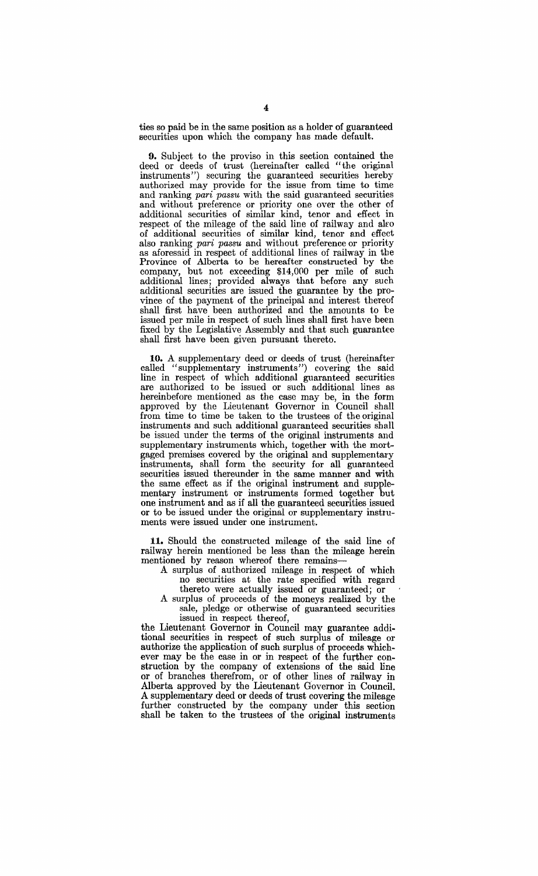ties so paid be in the same position as a holder of guaranteed securities upon which the company has made default.

9. Subject to the proviso in this section contained the deed or deeds of trust (hereinafter called "the original instruments") securing the guaranteed securities hereby authorized may provide for the issue from time to time and ranking *pari passu* with the said guaranteed securities and without preference or priority one over the other of additional securities of similar kind, tenor and effect in respect of the mileage of the said line of railway and also of additional securities of similar kind, tenor and effect also ranking *pari passu* and without preference or priority as aforesaid in respect of additional lines of railway in the Province of Alberta to be hereafter constructed by the company, but not exceeding \$14,000 per mile of such additional lines; provided always that before any such additional securities are issued the guarantee by the province of the payment of the principal and interest thereof shall first have been authorized and the amounts to be issued per mile in respect of such lines shall first have been fixed by the Legislative Assembly and that such guarantee shall first have been given pursuant thereto.

**10.** A supplementary deed or deeds of trust (hereinafter called "supplementary instruments") covering the said line in respect of which additional guaranteed securities are authorized to be issued or such additional lines as hereinbefore mentioned as the case may be, in the form approved by the Lieutenant Governor in Council shall from time to time be taken to the trustees of the original instruments and such additional guaranteed securities shall be issued under the terms of the original instruments and supplementary instruments which, together with the mortgaged premises covered by the original and supplementary instruments, shall form the security for all guaranteed securities issued thereunder in the same manner and with the same effect as if the original instrument and supplementary instrument or instruments formed together but one instrument and as if all the guaranteed securities issued or to be issued under the original or supplementary instruments were issued under one instrument.

**11.** Should the constructed mileage of the said line of railway herein mentioned be less than the milenge herein mentioned by reason whereof there remains-

A surplus of authorized mileage in respect of which no securities at the rate specified with regard

thereto were actually issued or guaranteed; or A surplus of proceeds of the moneys realized by the sale, pledge or otherwise of guaranteed securities

issued in respect thereof, the Lieutenant Governor in Council may guarantee additional securities in respect of such surplus of mileage or authorize the application of such surplus of proceeds whichever may be the case in or in respect of the further construction by the company of extensions of the said line or of branches therefrom, or of other lines of railway in Alberta approved by the Lieutenant Governor in Council. A supplementary deed or deeds of trust covering the mileage further constructed by the company under this section shall be taken to the trustees of the original instruments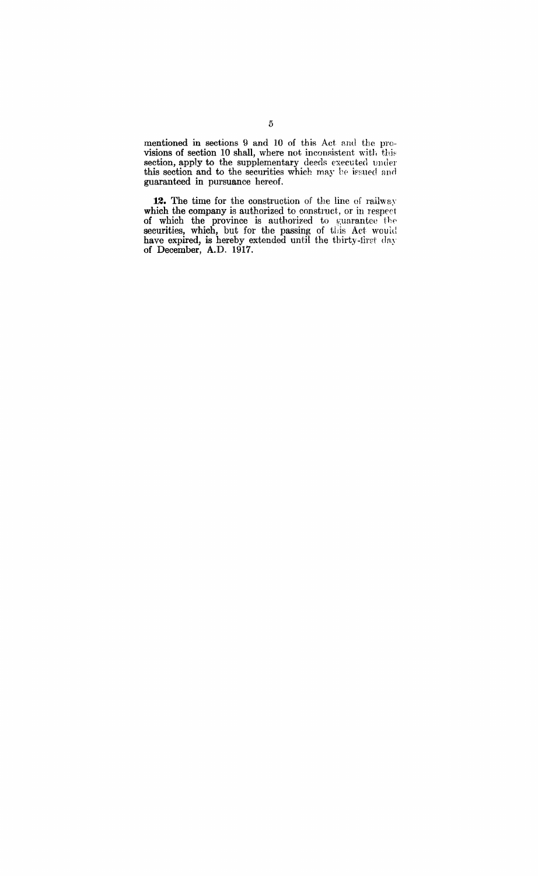mentioned in sections 9 and 10 of this Act and the provisions of section 10 shall, where not inconsistent with this section, apply to the supplementary deeds executed under this section and to the securities which may be issued and guaranteed in pursuance hereof.

**12.** The time for the construction of the line of railway which the company is authorized to construct, or in respect of which the province is authorized to guarantee the securities, which, but for the passing of this Act would have expired, is hereby extended until the thirty-first day of December, A.D. 1917.